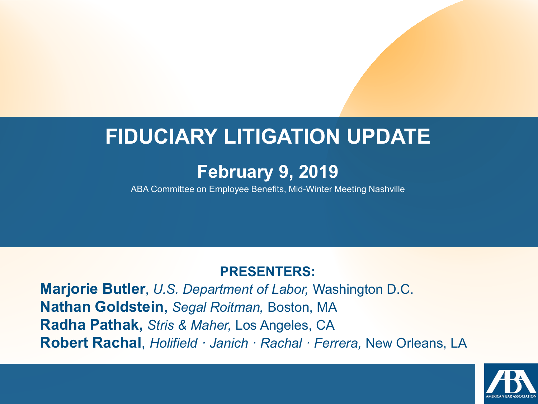#### **FIDUCIARY LITIGATION UPDATE**

#### **February 9, 2019**

ABA Committee on Employee Benefits, Mid-Winter Meeting Nashville

#### **PRESENTERS:**

**Marjorie Butler**, *U.S. Department of Labor,* Washington D.C. **Nathan Goldstein**, *Segal Roitman,* Boston, MA **Radha Pathak,** *Stris & Maher,* Los Angeles, CA **Robert Rachal**, *Holifield · Janich · Rachal · Ferrera,* New Orleans, LA

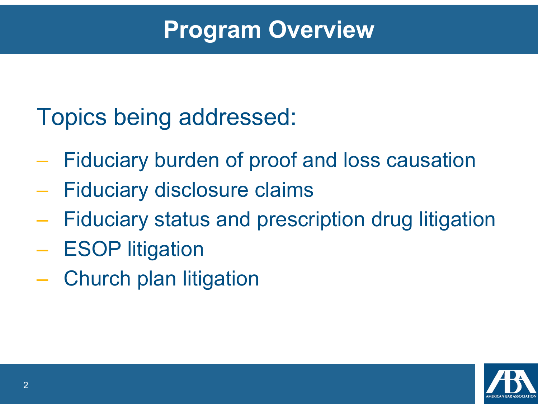## **Program Overview**

## Topics being addressed:

- Fiduciary burden of proof and loss causation
- Fiduciary disclosure claims
- Fiduciary status and prescription drug litigation
- ESOP litigation
- Church plan litigation

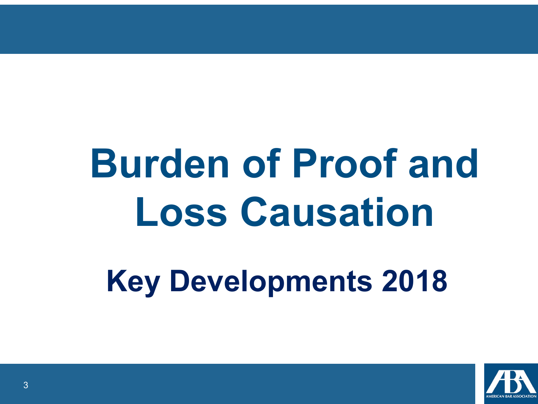## **Burden of Proof and Loss Causation**

**Key Developments 2018** 

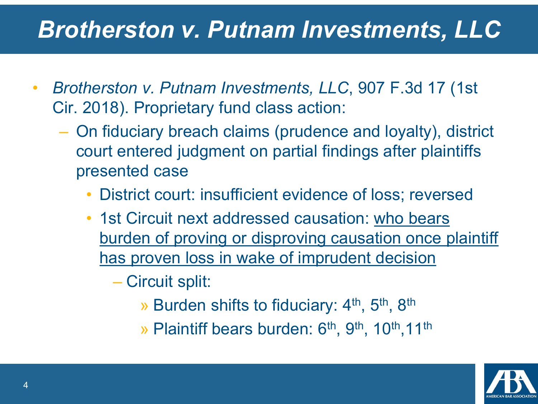## *Brotherston v. Putnam Investments, LLC*

- *Brotherston v. Putnam Investments, LLC*, 907 F.3d 17 (1st Cir. 2018). Proprietary fund class action:
	- On fiduciary breach claims (prudence and loyalty), district court entered judgment on partial findings after plaintiffs presented case
		- District court: insufficient evidence of loss; reversed
		- 1st Circuit next addressed causation: who bears burden of proving or disproving causation once plaintiff has proven loss in wake of imprudent decision

– Circuit split:

» Burden shifts to fiduciary: 4<sup>th</sup>, 5<sup>th</sup>, 8<sup>th</sup>

» Plaintiff bears burden: 6<sup>th</sup>, 9<sup>th</sup>, 10<sup>th</sup>, 11<sup>th</sup>

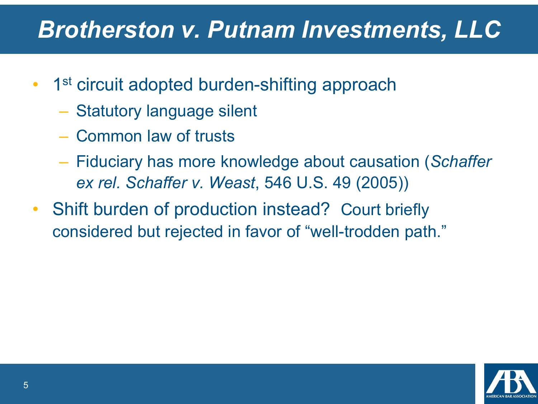## *Brotherston v. Putnam Investments, LLC*

- 1<sup>st</sup> circuit adopted burden-shifting approach
	- Statutory language silent
	- Common law of trusts
	- Fiduciary has more knowledge about causation (*Schaffer ex rel. Schaffer v. Weast*, 546 U.S. 49 (2005))
- Shift burden of production instead? Court briefly considered but rejected in favor of "well-trodden path."

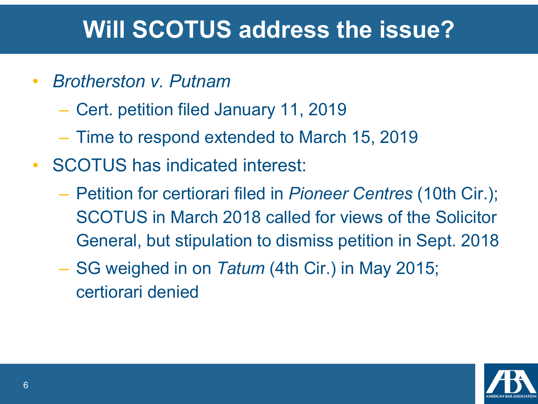## **Will SCOTUS address the issue?**

- *Brotherston v. Putnam*
	- Cert. petition filed January 11, 2019
	- Time to respond extended to March 15, 2019
- SCOTUS has indicated interest:
	- Petition for certiorari filed in *Pioneer Centres* (10th Cir.); SCOTUS in March 2018 called for views of the Solicitor General, but stipulation to dismiss petition in Sept. 2018
	- SG weighed in on *Tatum* (4th Cir.) in May 2015; certiorari denied

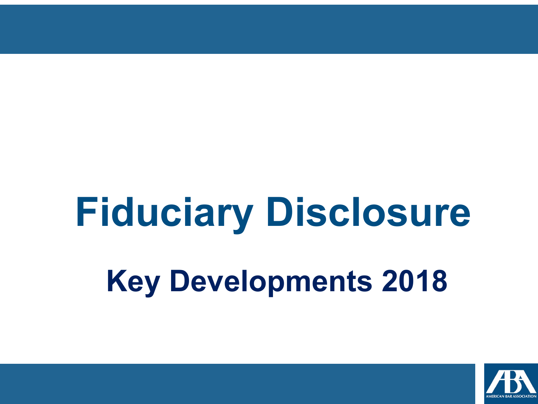## **Key Developments 2018 Fiduciary Disclosure**

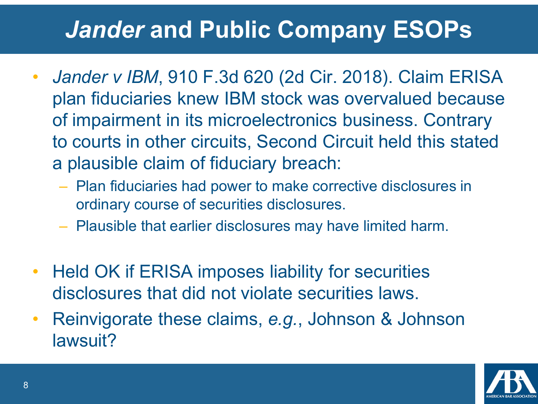## *Jander* **and Public Company ESOPs**

- *Jander v IBM*, 910 F.3d 620 (2d Cir. 2018). Claim ERISA plan fiduciaries knew IBM stock was overvalued because of impairment in its microelectronics business. Contrary to courts in other circuits, Second Circuit held this stated a plausible claim of fiduciary breach:
	- Plan fiduciaries had power to make corrective disclosures in ordinary course of securities disclosures.
	- Plausible that earlier disclosures may have limited harm.
- Held OK if ERISA imposes liability for securities disclosures that did not violate securities laws.
- Reinvigorate these claims, *e.g.*, Johnson & Johnson lawsuit?

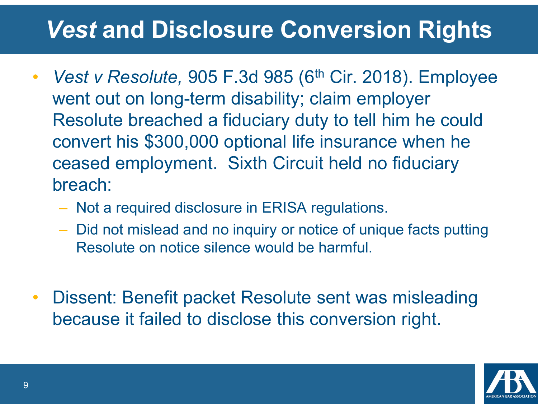## *Vest* **and Disclosure Conversion Rights**

- *Vest v Resolute,* 905 F.3d 985 (6<sup>th</sup> Cir. 2018). Employee went out on long-term disability; claim employer Resolute breached a fiduciary duty to tell him he could convert his \$300,000 optional life insurance when he ceased employment. Sixth Circuit held no fiduciary breach:
	- Not a required disclosure in ERISA regulations.
	- Did not mislead and no inquiry or notice of unique facts putting Resolute on notice silence would be harmful.
- Dissent: Benefit packet Resolute sent was misleading because it failed to disclose this conversion right.

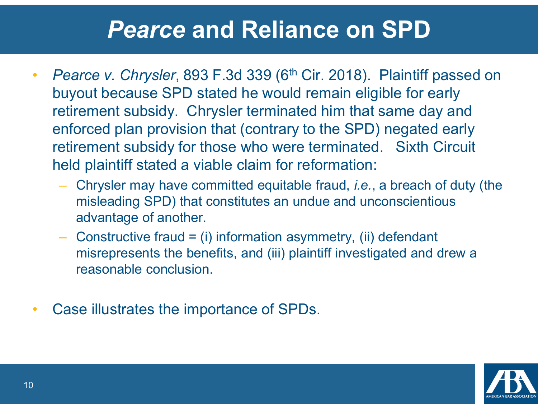#### *Pearce* **and Reliance on SPD**

- *Pearce v. Chrysler*, 893 F.3d 339 (6<sup>th</sup> Cir. 2018). Plaintiff passed on buyout because SPD stated he would remain eligible for early retirement subsidy. Chrysler terminated him that same day and enforced plan provision that (contrary to the SPD) negated early retirement subsidy for those who were terminated. Sixth Circuit held plaintiff stated a viable claim for reformation:
	- Chrysler may have committed equitable fraud, *i.e.*, a breach of duty (the misleading SPD) that constitutes an undue and unconscientious advantage of another.
	- $-$  Constructive fraud  $=$  (i) information asymmetry, (ii) defendant misrepresents the benefits, and (iii) plaintiff investigated and drew a reasonable conclusion.
- Case illustrates the importance of SPDs.

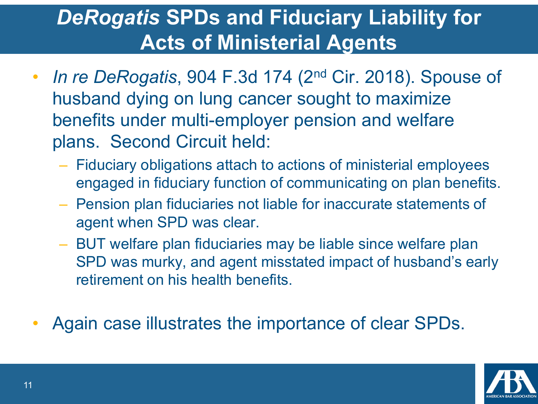#### *DeRogatis* **SPDs and Fiduciary Liability for Acts of Ministerial Agents**

- *In re DeRogatis*, 904 F.3d 174 (2nd Cir. 2018). Spouse of husband dying on lung cancer sought to maximize benefits under multi-employer pension and welfare plans. Second Circuit held:
	- Fiduciary obligations attach to actions of ministerial employees engaged in fiduciary function of communicating on plan benefits.
	- Pension plan fiduciaries not liable for inaccurate statements of agent when SPD was clear.
	- BUT welfare plan fiduciaries may be liable since welfare plan SPD was murky, and agent misstated impact of husband's early retirement on his health benefits.
- Again case illustrates the importance of clear SPDs.

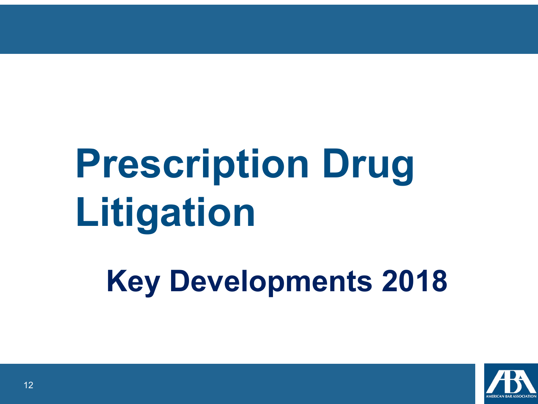## **Prescription Drug Litigation**

**Key Developments 2018** 

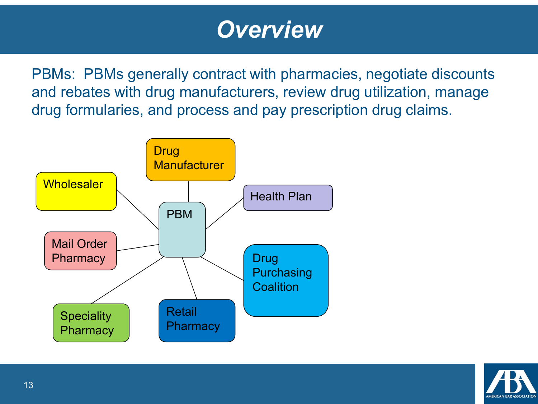#### *Overview*

PBMs: PBMs generally contract with pharmacies, negotiate discounts and rebates with drug manufacturers, review drug utilization, manage drug formularies, and process and pay prescription drug claims.



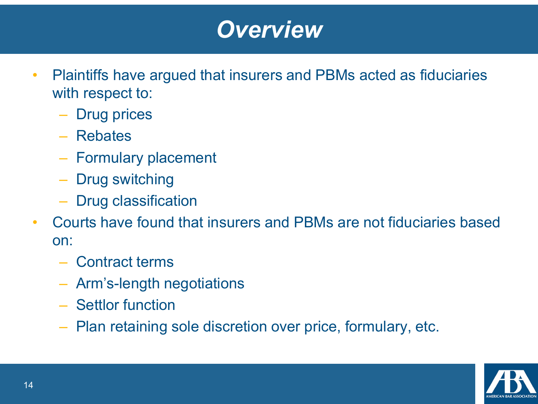#### *Overview*

- Plaintiffs have argued that insurers and PBMs acted as fiduciaries with respect to:
	- Drug prices
	- Rebates
	- Formulary placement
	- Drug switching
	- Drug classification
- Courts have found that insurers and PBMs are not fiduciaries based on:
	- Contract terms
	- Arm's-length negotiations
	- Settlor function
	- Plan retaining sole discretion over price, formulary, etc.

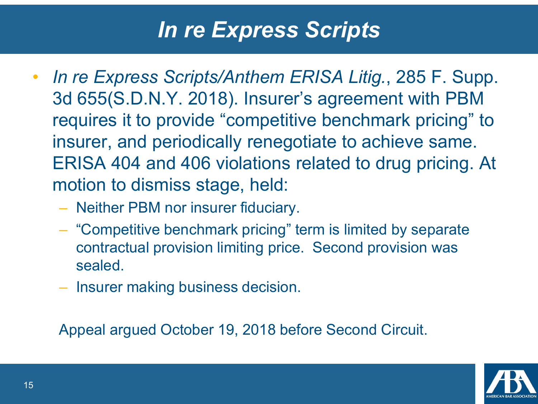#### *In re Express Scripts*

- *In re Express Scripts/Anthem ERISA Litig.*, 285 F. Supp. 3d 655(S.D.N.Y. 2018). Insurer's agreement with PBM requires it to provide "competitive benchmark pricing" to insurer, and periodically renegotiate to achieve same. ERISA 404 and 406 violations related to drug pricing. At motion to dismiss stage, held:
	- Neither PBM nor insurer fiduciary.
	- "Competitive benchmark pricing" term is limited by separate contractual provision limiting price. Second provision was sealed.
	- Insurer making business decision.

Appeal argued October 19, 2018 before Second Circuit.

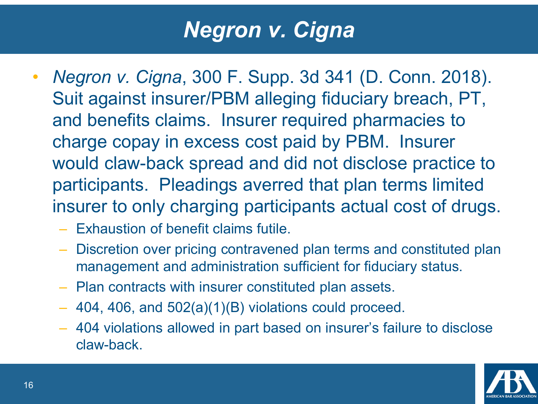#### *Negron v. Cigna*

- *Negron v. Cigna*, 300 F. Supp. 3d 341 (D. Conn. 2018). Suit against insurer/PBM alleging fiduciary breach, PT, and benefits claims. Insurer required pharmacies to charge copay in excess cost paid by PBM. Insurer would claw-back spread and did not disclose practice to participants. Pleadings averred that plan terms limited insurer to only charging participants actual cost of drugs.
	- Exhaustion of benefit claims futile.
	- Discretion over pricing contravened plan terms and constituted plan management and administration sufficient for fiduciary status.
	- Plan contracts with insurer constituted plan assets.
	- 404, 406, and 502(a)(1)(B) violations could proceed.
	- 404 violations allowed in part based on insurer's failure to disclose claw-back.

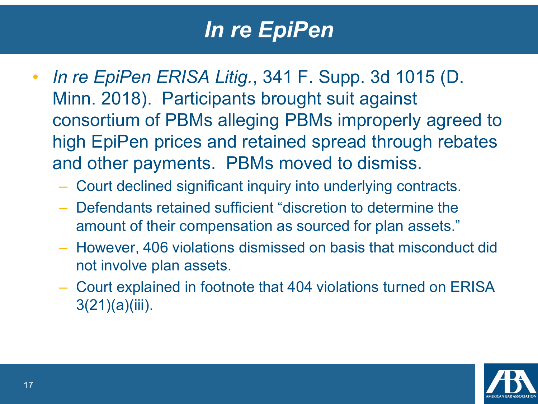#### *In re EpiPen*

- *In re EpiPen ERISA Litig.*, 341 F. Supp. 3d 1015 (D. Minn. 2018). Participants brought suit against consortium of PBMs alleging PBMs improperly agreed to high EpiPen prices and retained spread through rebates and other payments. PBMs moved to dismiss.
	- Court declined significant inquiry into underlying contracts.
	- Defendants retained sufficient "discretion to determine the amount of their compensation as sourced for plan assets."
	- However, 406 violations dismissed on basis that misconduct did not involve plan assets.
	- Court explained in footnote that 404 violations turned on ERISA 3(21)(a)(iii).

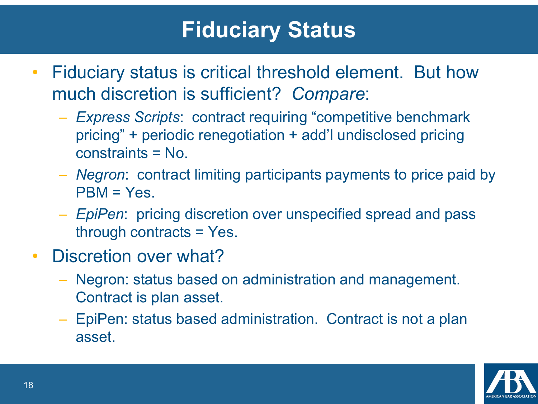#### **Fiduciary Status**

- Fiduciary status is critical threshold element. But how much discretion is sufficient? *Compare*:
	- *Express Scripts*: contract requiring "competitive benchmark pricing" + periodic renegotiation + add'l undisclosed pricing constraints = No.
	- *Negron*: contract limiting participants payments to price paid by  $PBM = Yes.$
	- *EpiPen*: pricing discretion over unspecified spread and pass through contracts = Yes.
- Discretion over what?
	- Negron: status based on administration and management. Contract is plan asset.
	- EpiPen: status based administration. Contract is not a plan asset.

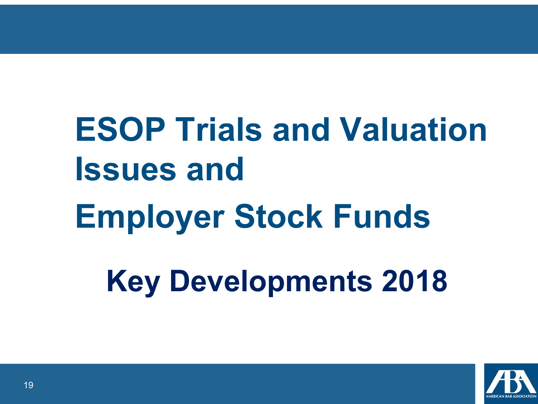**Key Developments 2018 ESOP Trials and Valuation Issues and Employer Stock Funds** 

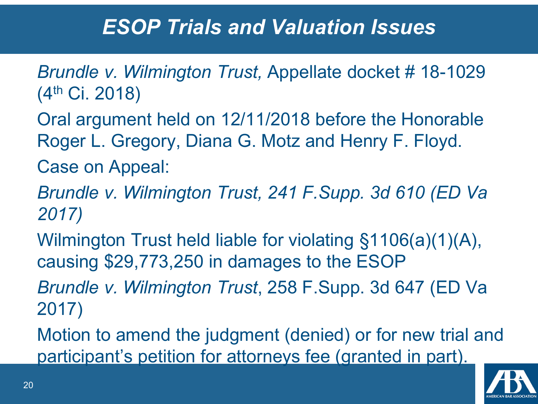- *Brundle v. Wilmington Trust,* Appellate docket # 18-1029 (4th Ci. 2018)
- Oral argument held on 12/11/2018 before the Honorable Roger L. Gregory, Diana G. Motz and Henry F. Floyd.
- Case on Appeal:
- *Brundle v. Wilmington Trust, 241 F.Supp. 3d 610 (ED Va 2017)*
- Wilmington Trust held liable for violating §1106(a)(1)(A), causing \$29,773,250 in damages to the ESOP
- *Brundle v. Wilmington Trust*, 258 F.Supp. 3d 647 (ED Va 2017)
- Motion to amend the judgment (denied) or for new trial and participant's petition for attorneys fee (granted in part).

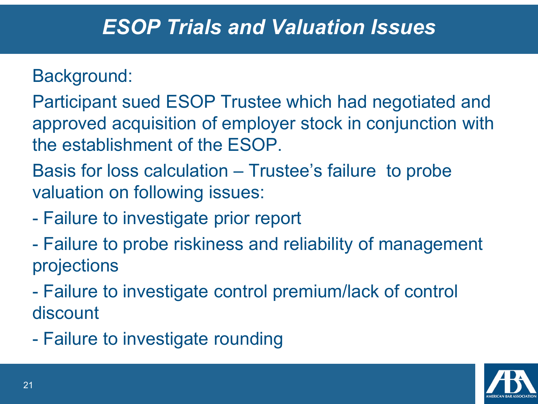#### Background:

Participant sued ESOP Trustee which had negotiated and approved acquisition of employer stock in conjunction with the establishment of the ESOP.

Basis for loss calculation – Trustee's failure to probe valuation on following issues:

- Failure to investigate prior report
- Failure to probe riskiness and reliability of management projections
- Failure to investigate control premium/lack of control discount
- Failure to investigate rounding

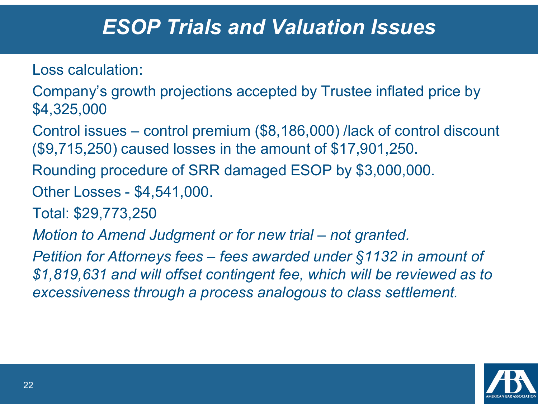Loss calculation:

Company's growth projections accepted by Trustee inflated price by \$4,325,000

Control issues – control premium (\$8,186,000) /lack of control discount (\$9,715,250) caused losses in the amount of \$17,901,250.

Rounding procedure of SRR damaged ESOP by \$3,000,000.

Other Losses - \$4,541,000.

Total: \$29,773,250

*Motion to Amend Judgment or for new trial – not granted.*

*Petition for Attorneys fees – fees awarded under §1132 in amount of \$1,819,631 and will offset contingent fee, which will be reviewed as to excessiveness through a process analogous to class settlement.* 

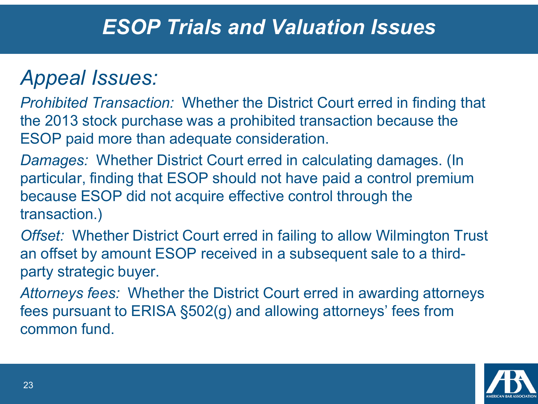#### *Appeal Issues:*

*Prohibited Transaction:* Whether the District Court erred in finding that the 2013 stock purchase was a prohibited transaction because the ESOP paid more than adequate consideration.

*Damages:* Whether District Court erred in calculating damages. (In particular, finding that ESOP should not have paid a control premium because ESOP did not acquire effective control through the transaction.)

*Offset:* Whether District Court erred in failing to allow Wilmington Trust an offset by amount ESOP received in a subsequent sale to a thirdparty strategic buyer.

*Attorneys fees:* Whether the District Court erred in awarding attorneys fees pursuant to ERISA §502(g) and allowing attorneys' fees from common fund.

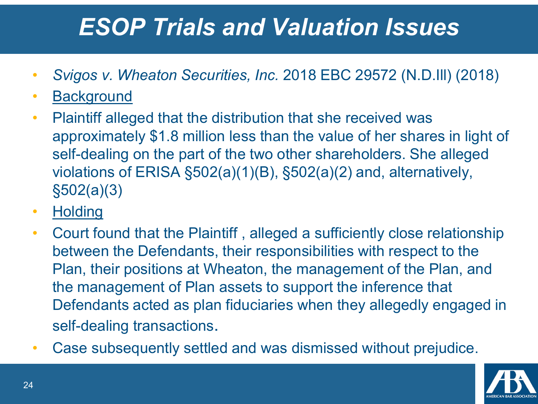- *Svigos v. Wheaton Securities, Inc.* 2018 EBC 29572 (N.D.Ill) (2018)
- Background
- Plaintiff alleged that the distribution that she received was approximately \$1.8 million less than the value of her shares in light of self-dealing on the part of the two other shareholders. She alleged violations of ERISA §502(a)(1)(B), §502(a)(2) and, alternatively, §502(a)(3)
- Holding
- Court found that the Plaintiff , alleged a sufficiently close relationship between the Defendants, their responsibilities with respect to the Plan, their positions at Wheaton, the management of the Plan, and the management of Plan assets to support the inference that Defendants acted as plan fiduciaries when they allegedly engaged in self-dealing transactions.
- Case subsequently settled and was dismissed without prejudice.

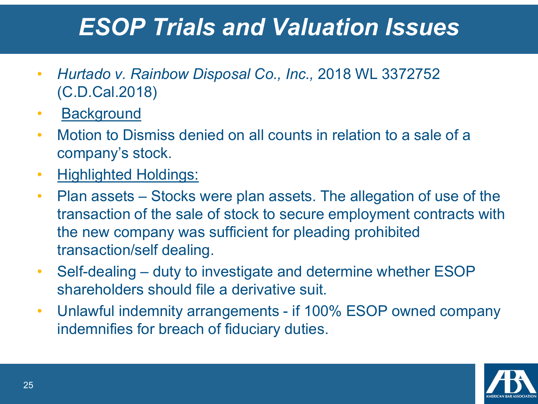- *Hurtado v. Rainbow Disposal Co., Inc.,* 2018 WL 3372752 (C.D.Cal.2018)
- Background
- Motion to Dismiss denied on all counts in relation to a sale of a company's stock.
- Highlighted Holdings:
- Plan assets Stocks were plan assets. The allegation of use of the transaction of the sale of stock to secure employment contracts with the new company was sufficient for pleading prohibited transaction/self dealing.
- Self-dealing duty to investigate and determine whether ESOP shareholders should file a derivative suit.
- Unlawful indemnity arrangements if 100% ESOP owned company indemnifies for breach of fiduciary duties.

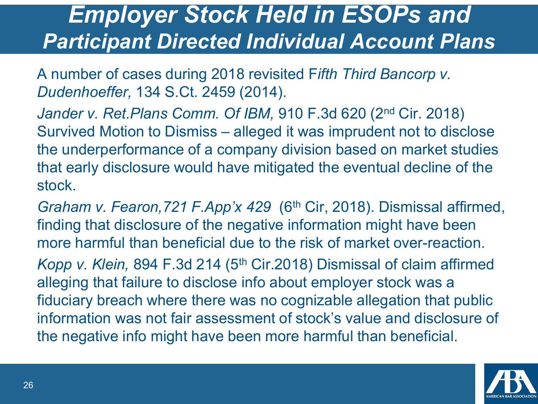#### *Employer Stock Held in ESOPs and Participant Directed Individual Account Plans*

A number of cases during 2018 revisited F*ifth Third Bancorp v. Dudenhoeffer,* 134 S.Ct. 2459 (2014).

*Jander v. Ret.Plans Comm. Of IBM,* 910 F.3d 620 (2nd Cir. 2018) Survived Motion to Dismiss – alleged it was imprudent not to disclose the underperformance of a company division based on market studies that early disclosure would have mitigated the eventual decline of the stock.

*Graham v. Fearon, 721 F. App'x 429* (6<sup>th</sup> Cir, 2018). Dismissal affirmed, finding that disclosure of the negative information might have been more harmful than beneficial due to the risk of market over-reaction.

*Kopp v. Klein,* 894 F.3d 214 (5<sup>th</sup> Cir.2018) Dismissal of claim affirmed alleging that failure to disclose info about employer stock was a fiduciary breach where there was no cognizable allegation that public information was not fair assessment of stock's value and disclosure of the negative info might have been more harmful than beneficial.

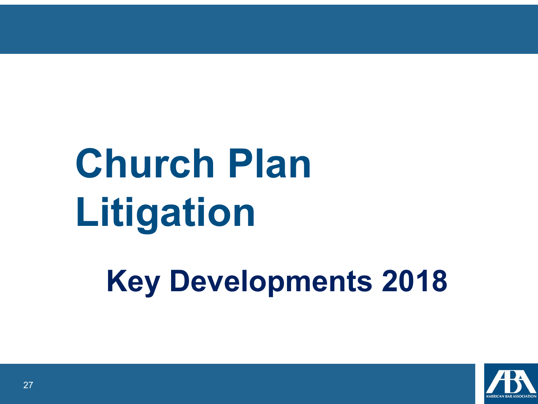# **Church Plan Litigation**

**Key Developments 2018** 

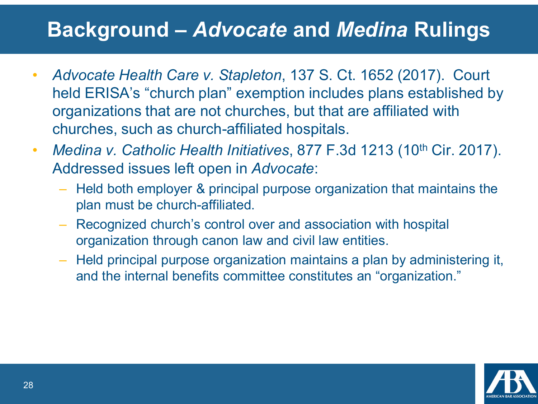#### **Background –** *Advocate* **and** *Medina* **Rulings**

- *Advocate Health Care v. Stapleton*, 137 S. Ct. 1652 (2017). Court held ERISA's "church plan" exemption includes plans established by organizations that are not churches, but that are affiliated with churches, such as church-affiliated hospitals.
- *Medina v. Catholic Health Initiatives*, 877 F.3d 1213 (10<sup>th</sup> Cir. 2017). Addressed issues left open in *Advocate*:
	- Held both employer & principal purpose organization that maintains the plan must be church-affiliated.
	- Recognized church's control over and association with hospital organization through canon law and civil law entities.
	- Held principal purpose organization maintains a plan by administering it, and the internal benefits committee constitutes an "organization."

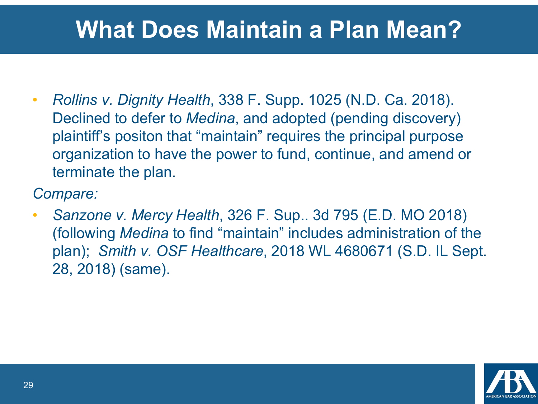#### **What Does Maintain a Plan Mean?**

• *Rollins v. Dignity Health*, 338 F. Supp. 1025 (N.D. Ca. 2018). Declined to defer to *Medina*, and adopted (pending discovery) plaintiff's positon that "maintain" requires the principal purpose organization to have the power to fund, continue, and amend or terminate the plan.

*Compare:*

• *Sanzone v. Mercy Health*, 326 F. Sup.. 3d 795 (E.D. MO 2018) (following *Medina* to find "maintain" includes administration of the plan); *Smith v. OSF Healthcare*, 2018 WL 4680671 (S.D. IL Sept. 28, 2018) (same).

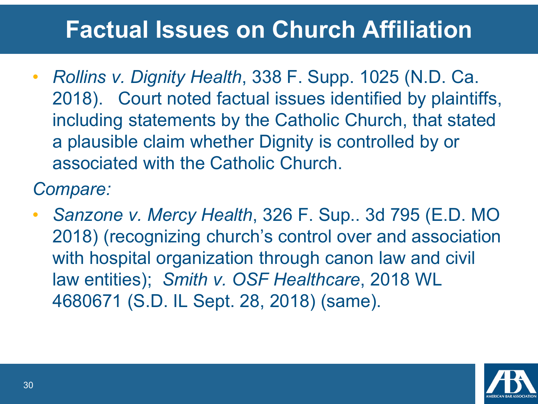## **Factual Issues on Church Affiliation**

• *Rollins v. Dignity Health*, 338 F. Supp. 1025 (N.D. Ca. 2018). Court noted factual issues identified by plaintiffs, including statements by the Catholic Church, that stated a plausible claim whether Dignity is controlled by or associated with the Catholic Church.

*Compare:*

• *Sanzone v. Mercy Health*, 326 F. Sup.. 3d 795 (E.D. MO 2018) (recognizing church's control over and association with hospital organization through canon law and civil law entities); *Smith v. OSF Healthcare*, 2018 WL 4680671 (S.D. IL Sept. 28, 2018) (same).

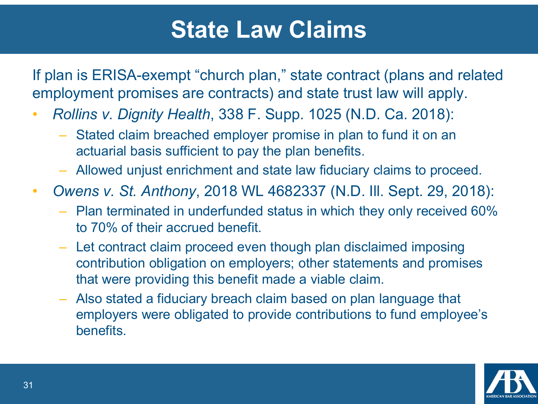#### **State Law Claims**

If plan is ERISA-exempt "church plan," state contract (plans and related employment promises are contracts) and state trust law will apply.

- *Rollins v. Dignity Health*, 338 F. Supp. 1025 (N.D. Ca. 2018):
	- Stated claim breached employer promise in plan to fund it on an actuarial basis sufficient to pay the plan benefits.
	- Allowed unjust enrichment and state law fiduciary claims to proceed.
- *Owens v. St. Anthony*, 2018 WL 4682337 (N.D. Ill. Sept. 29, 2018):
	- Plan terminated in underfunded status in which they only received 60% to 70% of their accrued benefit.
	- Let contract claim proceed even though plan disclaimed imposing contribution obligation on employers; other statements and promises that were providing this benefit made a viable claim.
	- Also stated a fiduciary breach claim based on plan language that employers were obligated to provide contributions to fund employee's benefits.